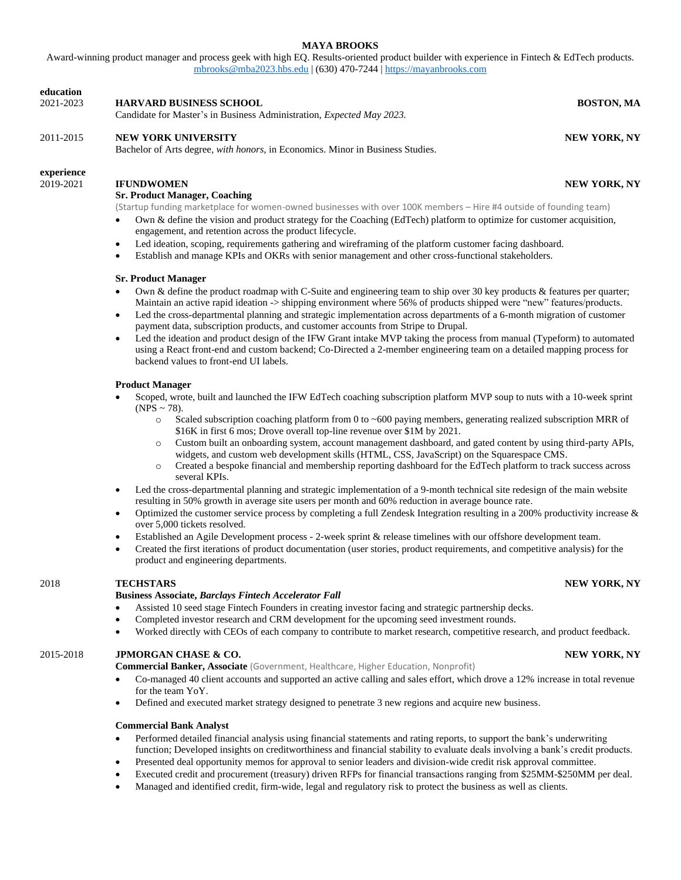# **MAYA BROOKS**

Award-winning product manager and process geek with high EQ. Results-oriented product builder with experience in Fintech & EdTech products. [mbrooks@mba2023.hbs.edu](mailto:mbrooks@mba2023.hbs.edu) | (630) 470-7244 [| https://mayanbrooks.com](https://mayanbrooks.com/)

| education<br>2021-2023  | <b>HARVARD BUSINESS SCHOOL</b><br>Candidate for Master's in Business Administration, Expected May 2023.                                                                                                                                                                                                                                                                                                                                                                                                                                                                                                                                                                                                                                                                                                                                                                                                                                                                                                                                                                                                                                                                                                                                                                                                                                                                                                                                              | <b>BOSTON, MA</b>   |
|-------------------------|------------------------------------------------------------------------------------------------------------------------------------------------------------------------------------------------------------------------------------------------------------------------------------------------------------------------------------------------------------------------------------------------------------------------------------------------------------------------------------------------------------------------------------------------------------------------------------------------------------------------------------------------------------------------------------------------------------------------------------------------------------------------------------------------------------------------------------------------------------------------------------------------------------------------------------------------------------------------------------------------------------------------------------------------------------------------------------------------------------------------------------------------------------------------------------------------------------------------------------------------------------------------------------------------------------------------------------------------------------------------------------------------------------------------------------------------------|---------------------|
| 2011-2015               | <b>NEW YORK UNIVERSITY</b><br>Bachelor of Arts degree, with honors, in Economics. Minor in Business Studies.                                                                                                                                                                                                                                                                                                                                                                                                                                                                                                                                                                                                                                                                                                                                                                                                                                                                                                                                                                                                                                                                                                                                                                                                                                                                                                                                         | <b>NEW YORK, NY</b> |
| experience<br>2019-2021 | <b>IFUNDWOMEN</b><br><b>Sr. Product Manager, Coaching</b><br>(Startup funding marketplace for women-owned businesses with over 100K members - Hire #4 outside of founding team)<br>Own & define the vision and product strategy for the Coaching (EdTech) platform to optimize for customer acquisition,<br>engagement, and retention across the product lifecycle.<br>Led ideation, scoping, requirements gathering and wireframing of the platform customer facing dashboard.<br>$\bullet$<br>Establish and manage KPIs and OKRs with senior management and other cross-functional stakeholders.<br>$\bullet$<br><b>Sr. Product Manager</b><br>Own & define the product roadmap with C-Suite and engineering team to ship over 30 key products & features per quarter;<br>$\bullet$<br>Maintain an active rapid ideation -> shipping environment where 56% of products shipped were "new" features/products.<br>Led the cross-departmental planning and strategic implementation across departments of a 6-month migration of customer<br>$\bullet$<br>payment data, subscription products, and customer accounts from Stripe to Drupal.<br>Led the ideation and product design of the IFW Grant intake MVP taking the process from manual (Typeform) to automated<br>$\bullet$<br>using a React front-end and custom backend; Co-Directed a 2-member engineering team on a detailed mapping process for<br>backend values to front-end UI labels. | <b>NEW YORK, NY</b> |
|                         | <b>Product Manager</b><br>Scoped, wrote, built and launched the IFW EdTech coaching subscription platform MVP soup to nuts with a 10-week sprint<br>$\bullet$<br>(NPS ~ 78).<br>Scaled subscription coaching platform from 0 to $\sim$ 600 paying members, generating realized subscription MRR of<br>$\circ$<br>\$16K in first 6 mos; Drove overall top-line revenue over \$1M by 2021.<br>Custom built an onboarding system, account management dashboard, and gated content by using third-party APIs,<br>$\circ$<br>widgets, and custom web development skills (HTML, CSS, JavaScript) on the Squarespace CMS.<br>Created a bespoke financial and membership reporting dashboard for the EdTech platform to track success across<br>$\circ$<br>several KPIs.                                                                                                                                                                                                                                                                                                                                                                                                                                                                                                                                                                                                                                                                                     |                     |

Led the cross-departmental planning and strategic implementation of a 9-month technical site redesign of the main website resulting in 50% growth in average site users per month and 60% reduction in average bounce rate.

Optimized the customer service process by completing a full Zendesk Integration resulting in a 200% productivity increase  $\&$ over 5,000 tickets resolved.

- Established an Agile Development process 2-week sprint & release timelines with our offshore development team.
- Created the first iterations of product documentation (user stories, product requirements, and competitive analysis) for the product and engineering departments.

# 2018 **TECHSTARS NEW YORK, NY**

### **Business Associate,** *Barclays Fintech Accelerator Fall*

- Assisted 10 seed stage Fintech Founders in creating investor facing and strategic partnership decks.
- Completed investor research and CRM development for the upcoming seed investment rounds.
- Worked directly with CEOs of each company to contribute to market research, competitive research, and product feedback.

# 2015-2018 **JPMORGAN CHASE & CO. NEW YORK, NY**

**Commercial Banker, Associate** (Government, Healthcare, Higher Education, Nonprofit)

- Co-managed 40 client accounts and supported an active calling and sales effort, which drove a 12% increase in total revenue for the team YoY.
- Defined and executed market strategy designed to penetrate 3 new regions and acquire new business.

## **Commercial Bank Analyst**

- Performed detailed financial analysis using financial statements and rating reports, to support the bank's underwriting function; Developed insights on creditworthiness and financial stability to evaluate deals involving a bank's credit products.
- Presented deal opportunity memos for approval to senior leaders and division-wide credit risk approval committee.
- Executed credit and procurement (treasury) driven RFPs for financial transactions ranging from \$25MM-\$250MM per deal.
- Managed and identified credit, firm-wide, legal and regulatory risk to protect the business as well as clients.